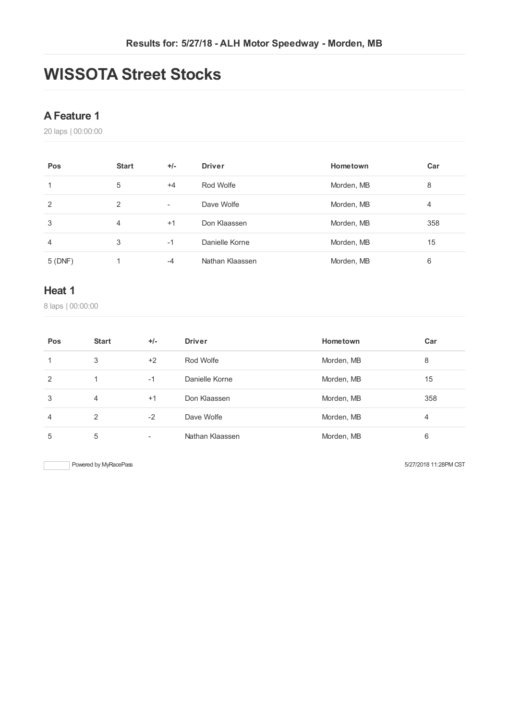# **WISSOTA Street Stocks**

## **AFeature 1**

laps | 00:00:00

| Pos    | <b>Start</b> | $+/-$                    | <b>Driver</b>   | Hometown   | Car |
|--------|--------------|--------------------------|-----------------|------------|-----|
| 1      | 5            | $+4$                     | Rod Wolfe       | Morden, MB | 8   |
| 2      | 2            | $\overline{\phantom{a}}$ | Dave Wolfe      | Morden, MB | 4   |
| 3      | 4            | $+1$                     | Don Klaassen    | Morden, MB | 358 |
| 4      | 3            | $-1$                     | Danielle Korne  | Morden, MB | 15  |
| 5(DNF) |              | $-4$                     | Nathan Klaassen | Morden, MB | 6   |

#### **Heat 1**

laps | 00:00:00

| Pos            | <b>Start</b>  | $+/-$                    | <b>Driver</b>   | Hometown   | Car |
|----------------|---------------|--------------------------|-----------------|------------|-----|
|                | 3             | $+2$                     | Rod Wolfe       | Morden, MB | 8   |
| 2              | 1             | $-1$                     | Danielle Korne  | Morden, MB | 15  |
| 3              | 4             | $+1$                     | Don Klaassen    | Morden, MB | 358 |
| $\overline{4}$ | $\mathcal{P}$ | $-2$                     | Dave Wolfe      | Morden, MB | 4   |
| 5              | 5             | $\overline{\phantom{a}}$ | Nathan Klaassen | Morden, MB | 6   |

Powered by MyRacePass 6127/2018 11:28PM CST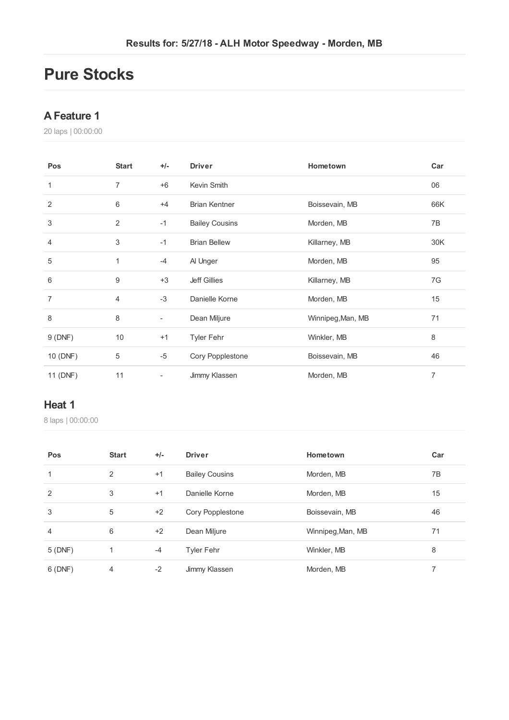## **Pure Stocks**

## **AFeature 1**

laps | 00:00:00

| Pos            | <b>Start</b>   | $+/-$ | <b>Driver</b>         | Hometown          | Car            |
|----------------|----------------|-------|-----------------------|-------------------|----------------|
| 1              | $\overline{7}$ | $+6$  | Kevin Smith           |                   | 06             |
| 2              | 6              | $+4$  | <b>Brian Kentner</b>  | Boissevain, MB    | 66K            |
| 3              | $\overline{2}$ | $-1$  | <b>Bailey Cousins</b> | Morden, MB        | 7B             |
| 4              | 3              | $-1$  | <b>Brian Bellew</b>   | Killarney, MB     | 30K            |
| 5              | 1              | -4    | Al Unger              | Morden, MB        | 95             |
| 6              | 9              | $+3$  | <b>Jeff Gillies</b>   | Killarney, MB     | 7G             |
| $\overline{7}$ | $\overline{4}$ | $-3$  | Danielle Korne        | Morden, MB        | 15             |
| 8              | 8              | ۰     | Dean Miljure          | Winnipeg, Man, MB | 71             |
| 9(DNF)         | 10             | $+1$  | <b>Tyler Fehr</b>     | Winkler, MB       | 8              |
| 10 (DNF)       | 5              | $-5$  | Cory Popplestone      | Boissevain, MB    | 46             |
| 11 (DNF)       | 11             |       | Jimmy Klassen         | Morden, MB        | $\overline{7}$ |

#### **Heat 1**

laps | 00:00:00

| Pos            | <b>Start</b>   | $+/-$ | <b>Driver</b>         | Hometown          | Car |
|----------------|----------------|-------|-----------------------|-------------------|-----|
| 1              | 2              | $+1$  | <b>Bailey Cousins</b> | Morden, MB        | 7B  |
| 2              | 3              | $+1$  | Danielle Korne        | Morden, MB        | 15  |
| 3              | 5              | $+2$  | Cory Popplestone      | Boissevain, MB    | 46  |
| $\overline{4}$ | 6              | $+2$  | Dean Miljure          | Winnipeg, Man, MB | 71  |
| 5 (DNF)        | 1              | $-4$  | <b>Tyler Fehr</b>     | Winkler, MB       | 8   |
| 6(DNF)         | $\overline{4}$ | $-2$  | Jimmy Klassen         | Morden, MB        |     |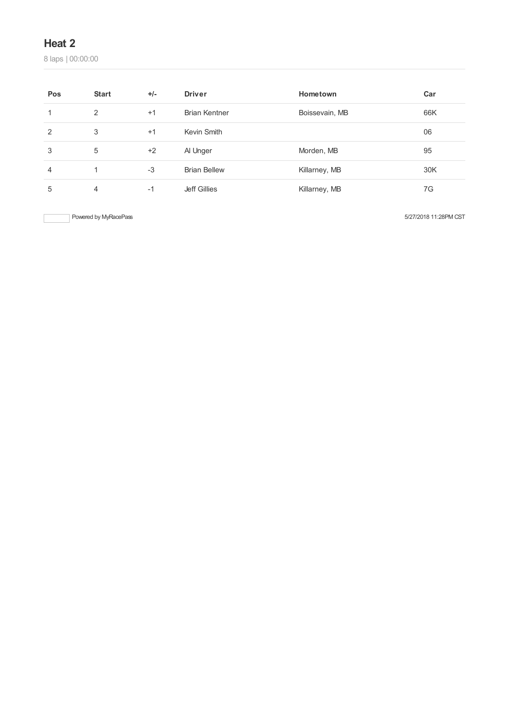## **Heat 2**

laps | 00:00:00

| Pos | <b>Start</b> | $+/-$ | <b>Driver</b>        | Hometown       | Car |
|-----|--------------|-------|----------------------|----------------|-----|
|     | 2            | $+1$  | <b>Brian Kentner</b> | Boissevain, MB | 66K |
| 2   | 3            | $+1$  | Kevin Smith          |                | 06  |
| 3   | 5            | $+2$  | Al Unger             | Morden, MB     | 95  |
| 4   |              | $-3$  | <b>Brian Bellew</b>  | Killarney, MB  | 30K |
| 5   | 4            | $-1$  | Jeff Gillies         | Killarney, MB  | 7G  |

Powered by MyRacePass 6/27/2018 11:28PM CST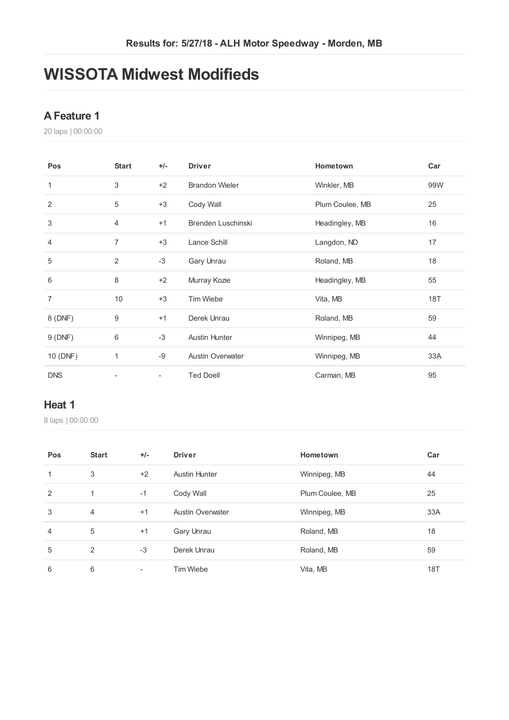## **WISSOTA Midwest Modifieds**

## **AFeature 1**

laps | 00:00:00

| Pos            | <b>Start</b>   | $+/-$                    | <b>Driver</b>           | Hometown        | Car |
|----------------|----------------|--------------------------|-------------------------|-----------------|-----|
| 1              | 3              | $+2$                     | <b>Brandon Wieler</b>   | Winkler, MB     | 99W |
| $\overline{2}$ | 5              | $+3$                     | Cody Wall               | Plum Coulee, MB | 25  |
| 3              | 4              | $+1$                     | Brenden Luschinski      | Headingley, MB  | 16  |
| 4              | 7              | $+3$                     | Lance Schill            | Langdon, ND     | 17  |
| 5              | $\overline{2}$ | $-3$                     | Gary Unrau              | Roland, MB      | 18  |
| 6              | 8              | $+2$                     | Murray Kozie            | Headingley, MB  | 55  |
| $\overline{7}$ | 10             | $+3$                     | Tim Wiebe               | Vita, MB        | 18T |
| 8 (DNF)        | 9              | $+1$                     | Derek Unrau             | Roland, MB      | 59  |
| 9(DNF)         | 6              | $-3$                     | <b>Austin Hunter</b>    | Winnipeg, MB    | 44  |
| 10 (DNF)       | 1              | -9                       | <b>Austin Overwater</b> | Winnipeg, MB    | 33A |
| <b>DNS</b>     |                | $\overline{\phantom{a}}$ | <b>Ted Doell</b>        | Carman, MB      | 95  |

#### **Heat 1**

laps | 00:00:00

| Pos            | <b>Start</b>   | $+/-$                    | <b>Driver</b>           | Hometown        | Car |
|----------------|----------------|--------------------------|-------------------------|-----------------|-----|
| $\mathbf{1}$   | 3              | $+2$                     | <b>Austin Hunter</b>    | Winnipeg, MB    | 44  |
| 2              | 1              | $-1$                     | Cody Wall               | Plum Coulee, MB | 25  |
| 3              | $\overline{4}$ | $+1$                     | <b>Austin Overwater</b> | Winnipeg, MB    | 33A |
| $\overline{4}$ | 5              | $+1$                     | Gary Unrau              | Roland, MB      | 18  |
| 5              | 2              | $-3$                     | Derek Unrau             | Roland, MB      | 59  |
| 6              | 6              | $\overline{\phantom{a}}$ | <b>Tim Wiebe</b>        | Vita, MB        | 18T |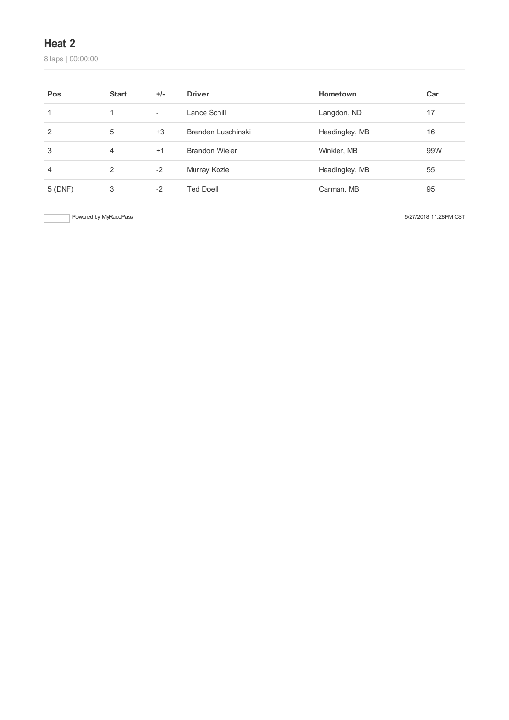## **Heat 2**

laps | 00:00:00

| Pos            | <b>Start</b> | $+/-$ | <b>Driver</b>         | Hometown       | Car |
|----------------|--------------|-------|-----------------------|----------------|-----|
|                |              | ۰     | Lance Schill          | Langdon, ND    | 17  |
| 2              | 5            | $+3$  | Brenden Luschinski    | Headingley, MB | 16  |
| 3              | 4            | $+1$  | <b>Brandon Wieler</b> | Winkler, MB    | 99W |
| $\overline{4}$ | 2            | $-2$  | Murray Kozie          | Headingley, MB | 55  |
| 5(DNF)         | 3            | $-2$  | Ted Doell             | Carman, MB     | 95  |

Powered by MyRacePass 6/27/2018 11:28PM CST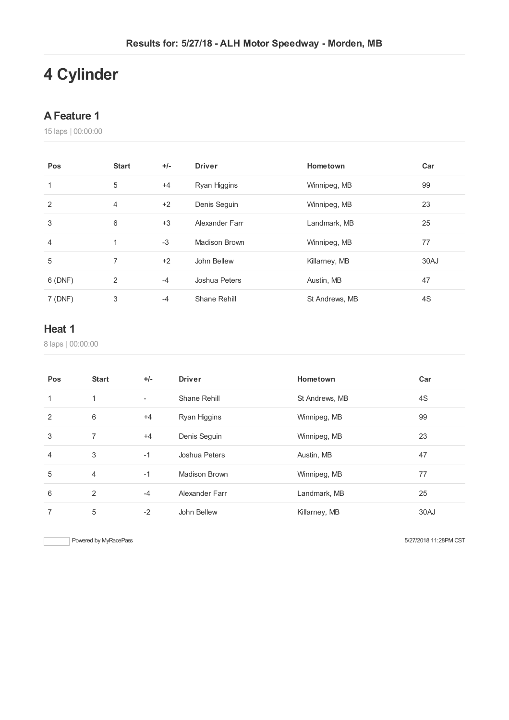# **Cylinder**

## **AFeature 1**

laps | 00:00:00

| Pos            | <b>Start</b> | $+/-$ | <b>Driver</b>  | Hometown       | Car  |
|----------------|--------------|-------|----------------|----------------|------|
| 1              | 5            | $+4$  | Ryan Higgins   | Winnipeg, MB   | 99   |
| $\overline{2}$ | 4            | $+2$  | Denis Seguin   | Winnipeg, MB   | 23   |
| 3              | 6            | $+3$  | Alexander Farr | Landmark, MB   | 25   |
| 4              | 1            | $-3$  | Madison Brown  | Winnipeg, MB   | 77   |
| 5              | 7            | $+2$  | John Bellew    | Killarney, MB  | 30AJ |
| 6(DNF)         | 2            | $-4$  | Joshua Peters  | Austin, MB     | 47   |
| 7(DNF)         | 3            | $-4$  | Shane Rehill   | St Andrews, MB | 4S   |

## **Heat 1**

laps | 00:00:00

| Pos            | <b>Start</b>   | $+/-$                    | <b>Driver</b>        | Hometown       | Car  |
|----------------|----------------|--------------------------|----------------------|----------------|------|
| 1              | 1              | $\overline{\phantom{a}}$ | Shane Rehill         | St Andrews, MB | 4S   |
| 2              | 6              | $+4$                     | Ryan Higgins         | Winnipeg, MB   | 99   |
| 3              | 7              | $+4$                     | Denis Seguin         | Winnipeg, MB   | 23   |
| $\overline{4}$ | 3              | $-1$                     | Joshua Peters        | Austin, MB     | 47   |
| 5              | $\overline{4}$ | $-1$                     | <b>Madison Brown</b> | Winnipeg, MB   | 77   |
| 6              | 2              | $-4$                     | Alexander Farr       | Landmark, MB   | 25   |
| 7              | 5              | $-2$                     | John Bellew          | Killarney, MB  | 30AJ |

Powered by MyRacePass 6127/2018 11:28PM CST